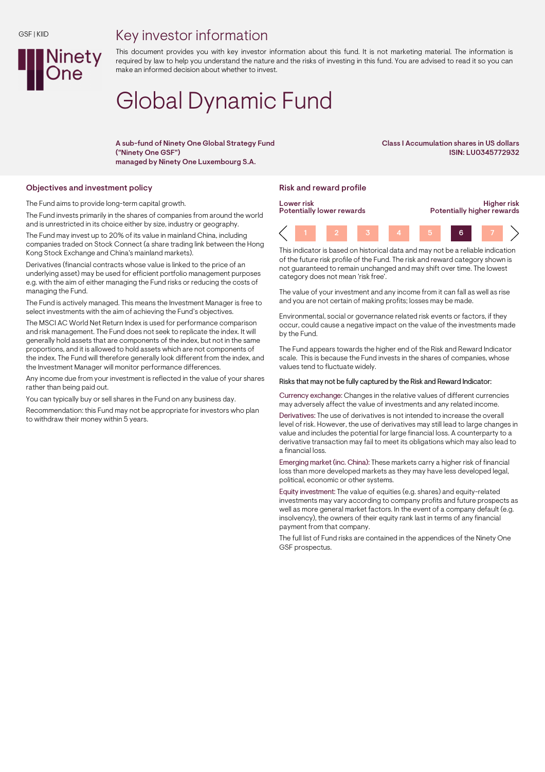## Key investor information



This document provides you with key investor information about this fund. It is not marketing material. The information is required by law to help you understand the nature and the risks of investing in this fund. You are advised to read it so you can make an informed decision about whether to invest.

# Global Dynamic Fund

A sub-fund of Ninety One Global Strategy Fund ("Ninety One GSF") managed by Ninety One Luxembourg S.A.

Class I Accumulation shares in US dollars ISIN: LU0345772932

#### Objectives and investment policy **Risk and reward profile** Risk and reward profile

The Fund aims to provide long-term capital growth.

The Fund invests primarily in the shares of companies from around the world and is unrestricted in its choice either by size, industry or geography. The Fund may invest up to 20% of its value in mainland China, including companies traded on Stock Connect (a share trading link between the Hong Kong Stock Exchange and China's mainland markets).

Derivatives (financial contracts whose value is linked to the price of an underlying asset) may be used for efficient portfolio management purposes e.g. with the aim of either managing the Fund risks or reducing the costs of managing the Fund.

The Fund is actively managed. This means the Investment Manager is free to select investments with the aim of achieving the Fund's objectives.

The MSCI AC World Net Return Index is used for performance comparison and risk management. The Fund does not seek to replicate the index. It will generally hold assets that are components of the index, but not in the same proportions, and it is allowed to hold assets which are not components of the index. The Fund will therefore generally look different from the index, and the Investment Manager will monitor performance differences.

Any income due from your investment is reflected in the value of your shares rather than being paid out.

You can typically buy or sell shares in the Fund on any business day.

Recommendation: this Fund may not be appropriate for investors who plan to withdraw their money within 5 years.



This indicator is based on historical data and may not be a reliable indication of the future risk profile of the Fund. The risk and reward category shown is not guaranteed to remain unchanged and may shift over time. The lowest category does not mean 'risk free'.

The value of your investment and any income from it can fall as well as rise and you are not certain of making profits; losses may be made.

Environmental, social or governance related risk events or factors, if they occur, could cause a negative impact on the value of the investments made by the Fund.

The Fund appears towards the higher end of the Risk and Reward Indicator scale. This is because the Fund invests in the shares of companies, whose values tend to fluctuate widely.

#### Risks that may not be fully captured by the Risk and Reward Indicator:

Currency exchange: Changes in the relative values of different currencies may adversely affect the value of investments and any related income.

Derivatives: The use of derivatives is not intended to increase the overall level of risk. However, the use of derivatives may still lead to large changes in value and includes the potential for large financial loss. A counterparty to a derivative transaction may fail to meet its obligations which may also lead to a financial loss.

Emerging market (inc. China): These markets carry a higher risk of financial loss than more developed markets as they may have less developed legal, political, economic or other systems.

Equity investment: The value of equities (e.g. shares) and equity-related investments may vary according to company profits and future prospects as well as more general market factors. In the event of a company default (e.g. insolvency), the owners of their equity rank last in terms of any financial payment from that company.

The full list of Fund risks are contained in the appendices of the Ninety One GSF prospectus.